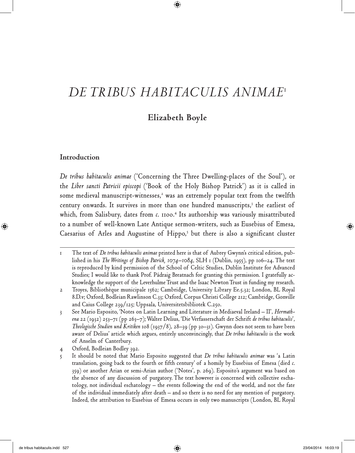# *De tribus habitaculis animae*<sup>1</sup>

 $\bigoplus$ 

### **Elizabeth Boyle**

### **Introduction**

*De tribus habitaculis animae* ('Concerning the Three Dwelling-places of the Soul'), or the *Liber sancti Patricii episcopi* ('Book of the Holy Bishop Patrick') as it is called in some medieval manuscript-witnesses, $^2$  was an extremely popular text from the twelfth century onwards. It survives in more than one hundred manuscripts, $3$  the earliest of which, from Salisbury, dates from *c*. 1100.<sup>4</sup> Its authorship was variously misattributed to a number of well-known Late Antique sermon-writers, such as Eusebius of Emesa, Caesarius of Arles and Augustine of Hippo,<sup>5</sup> but there is also a significant cluster

4 Oxford, Bodleian Bodley 392.

⊕

<sup>1</sup> The text of *De tribus habitaculis animae* printed here is that of Aubrey Gwynn's critical edition, published in his *The Writings of Bishop Patrick, 1074–1084*, SLH 1 (Dublin, 1955), pp 106–24. The text is reproduced by kind permission of the School of Celtic Studies, Dublin Institute for Advanced Studies; I would like to thank Prof. Pádraig Breatnach for granting this permission. I gratefully acknowledge the support of the Leverhulme Trust and the Isaac Newton Trust in funding my research.

<sup>2</sup> Troyes, Bibliothèque municipale 1562; Cambridge, University Library Ee.5.32; London, BL Royal 8.D.v; Oxford, Bodleian Rawlinson C.33; Oxford, Corpus Christi College 212; Cambridge, Gonville and Caius College 239/125; Uppsala, Universitetsbibliotek C.250.

<sup>3</sup> See Mario Esposito, 'Notes on Latin Learning and Literature in Mediaeval Ireland – II', *Hermathena* 22 (1932) 253–71 (pp 263–7); Walter Delius, 'Die Verfasserschaft der Schrift *de tribus habitaculis*', *Theologische Studien und Kritiken* 108 (1937/8), 28–39 (pp 30–31). Gwynn does not seem to have been aware of Delius' article which argues, entirely unconvincingly, that *De tribus habitaculis* is the work of Anselm of Canterbury.

<sup>5</sup> It should be noted that Mario Esposito suggested that *De tribus habitaculis animae* was 'a Latin translation, going back to the fourth or fifth century' of a homily by Eusebius of Emesa (died *c*. 359) or another Arian or semi-Arian author ('Notes', p. 269). Esposito's argument was based on the absence of any discussion of purgatory. The text however is concerned with collective eschatology, not individual eschatology – the events following the end of the world, and not the fate of the individual immediately after death – and so there is no need for any mention of purgatory. Indeed, the attribution to Eusebius of Emesa occurs in only two manuscripts (London, BL Royal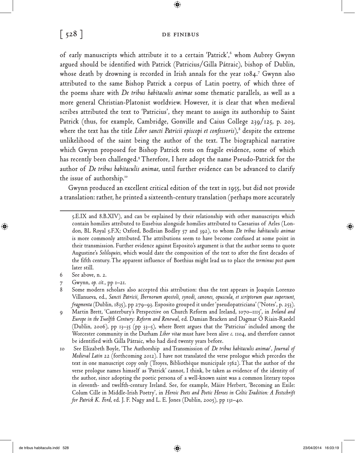### $\begin{bmatrix} 528 \end{bmatrix}$  DE FINIBUS

 $\bigcirc$ 

of early manuscripts which attribute it to a certain 'Patrick',<sup>6</sup> whom Aubrey Gwynn argued should be identified with Patrick (Patricius/Gilla Pátraic), bishop of Dublin, whose death by drowning is recorded in Irish annals for the year 1084.7 Gwynn also attributed to the same Bishop Patrick a corpus of Latin poetry, of which three of the poems share with *De tribus habitaculis animae* some thematic parallels, as well as a more general Christian-Platonist worldview. However, it is clear that when medieval scribes attributed the text to 'Patricius', they meant to assign its authorship to Saint Patrick (thus, for example, Cambridge, Gonville and Caius College 239/125, p. 203, where the text has the title *Liber sancti Patricii episcopi et confessoris*), $^8$  despite the extreme unlikelihood of the saint being the author of the text. The biographical narrative which Gwynn proposed for Bishop Patrick rests on fragile evidence, some of which has recently been challenged.9 Therefore, I here adopt the name Pseudo-Patrick for the author of *De tribus habitaculis animae*, until further evidence can be advanced to clarify the issue of authorship.<sup>10</sup>

Gwynn produced an excellent critical edition of the text in 1955, but did not provide a translation: rather, he printed a sixteenth-century translation (perhaps more accurately

⊕

<sup>5.</sup>E.IX and 8.B.XIV), and can be explained by their relationship with other manuscripts which contain homilies attributed to Eusebius alongside homilies attributed to Caesarius of Arles (London, BL Royal 5.F.X; Oxford, Bodleian Bodley 57 and 392), to whom *De tribus habitaculis animae* is more commonly attributed. The attributions seem to have become confused at some point in their transmission. Further evidence against Esposito's argument is that the author seems to quote Augustine's *Soliloquies*, which would date the composition of the text to after the first decades of the fifth century. The apparent influence of Boethius might lead us to place the *terminus post quem* later still.

<sup>6</sup> See above, n. 2.

<sup>7</sup> Gwynn, *op. cit.*, pp 1–21.

<sup>8</sup> Some modern scholars also accepted this attribution: thus the text appears in Joaquín Lorenzo Villanueva, ed., *Sancti Patricii, Ibernorum apostoli, synodi, canones, opuscula, et scriptorum quae supersunt, fragmenta* (Dublin, 1835), pp 279–93. Esposito grouped it under 'pseudopatriciana' ('Notes', p. 253).

<sup>9</sup> Martin Brett, 'Canterbury's Perspective on Church Reform and Ireland, 1070–1115', in *Ireland and Europe in the Twelfth Century: Reform and Renewal*, ed. Damian Bracken and Dagmar Ó Riain-Raedel (Dublin, 2006), pp 13–35 (pp 33–5), where Brett argues that the 'Patricius' included among the Worcester community in the Durham *Liber vitae* must have been alive *c*. 1104, and therefore cannot be identified with Gilla Pátraic, who had died twenty years before.

<sup>10</sup> See Elizabeth Boyle, 'The Authorship and Transmission of *De tribus habitaculis animae*', *Journal of Medieval Latin* 22 (forthcoming 2012). I have not translated the verse prologue which precedes the text in one manuscript copy only (Troyes, Bibliothèque municipale 1562). That the author of the verse prologue names himself as 'Patrick' cannot, I think, be taken as evidence of the identity of the author, since adopting the poetic persona of a well-known saint was a common literary topos in eleventh- and twelfth-century Ireland. See, for example, Máire Herbert, 'Becoming an Exile: Colum Cille in Middle-Irish Poetry', in *Heroic Poets and Poetic Heroes in Celtic Tradition: A Festschrift for Patrick K. Ford*, ed. J. F. Nagy and L. E. Jones (Dublin, 2005), pp 131–40.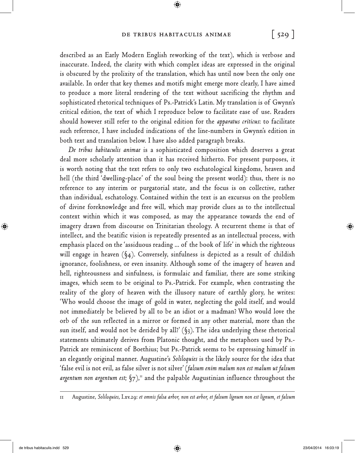### De tribus habitaculis animae **[ 529 ]**

 $\bigoplus$ 

described as an Early Modern English reworking of the text), which is verbose and inaccurate. Indeed, the clarity with which complex ideas are expressed in the original is obscured by the prolixity of the translation, which has until now been the only one available. In order that key themes and motifs might emerge more clearly, I have aimed to produce a more literal rendering of the text without sacrificing the rhythm and sophisticated rhetorical techniques of Ps.-Patrick's Latin. My translation is of Gwynn's critical edition, the text of which I reproduce below to facilitate ease of use. Readers should however still refer to the original edition for the *apparatus criticus*: to facilitate such reference, I have included indications of the line-numbers in Gwynn's edition in both text and translation below. I have also added paragraph breaks.

*De tribus habitaculis animae* is a sophisticated composition which deserves a great deal more scholarly attention than it has received hitherto. For present purposes, it is worth noting that the text refers to only two eschatological kingdoms, heaven and hell (the third 'dwelling-place' of the soul being the present world): thus, there is no reference to any interim or purgatorial state, and the focus is on collective, rather than individual, eschatology. Contained within the text is an excursus on the problem of divine foreknowledge and free will, which may provide clues as to the intellectual context within which it was composed, as may the appearance towards the end of imagery drawn from discourse on Trinitarian theology. A recurrent theme is that of intellect, and the beatific vision is repeatedly presented as an intellectual process, with emphasis placed on the 'assiduous reading ... of the book of life' in which the righteous will engage in heaven (§4). Conversely, sinfulness is depicted as a result of childish ignorance, foolishness, or even insanity. Although some of the imagery of heaven and hell, righteousness and sinfulness, is formulaic and familiar, there are some striking images, which seem to be original to Ps.-Patrick. For example, when contrasting the reality of the glory of heaven with the illusory nature of earthly glory, he writes: 'Who would choose the image of gold in water, neglecting the gold itself, and would not immediately be believed by all to be an idiot or a madman? Who would love the orb of the sun reflected in a mirror or formed in any other material, more than the sun itself, and would not be derided by all?'  $(\S_3)$ . The idea underlying these rhetorical statements ultimately derives from Platonic thought, and the metaphors used by Ps.- Patrick are reminiscent of Boethius; but Ps.-Patrick seems to be expressing himself in an elegantly original manner. Augustine's *Soliloquies* is the likely source for the idea that 'false evil is not evil, as false silver is not silver' (*falsum enim malum non est malum ut falsum*  argentum non argentum est; §7),<sup>11</sup> and the palpable Augustinian influence throughout the

11 Augustine, *Soliloquies*, I.xv.29: *et omnis falsa arbor, non est arbor, et falsum lignum non est lignum, et falsum*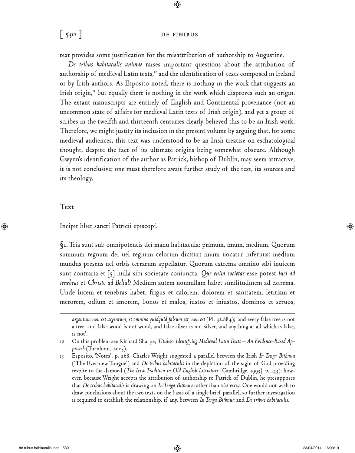### [ 530 ] DE FINIBUS

 $\bigcirc$ 

text provides some justification for the misattribution of authorship to Augustine.

*De tribus habitaculis animae* raises important questions about the attribution of authorship of medieval Latin texts, $12$  and the identification of texts composed in Ireland or by Irish authors. As Esposito noted, there is nothing in the work that suggests an Irish origin, $13$  but equally there is nothing in the work which disproves such an origin. The extant manuscripts are entirely of English and Continental provenance (not an uncommon state of affairs for medieval Latin texts of Irish origin), and yet a group of scribes in the twelfth and thirteenth centuries clearly believed this to be an Irish work. Therefore, we might justify its inclusion in the present volume by arguing that, for some medieval audiences, this text was understood to be an Irish treatise on eschatological thought, despite the fact of its ultimate origins being somewhat obscure. Although Gwynn's identification of the author as Patrick, bishop of Dublin, may seem attractive, it is not conclusive; one must therefore await further study of the text, its sources and its theology.

### **Text**

⊕

Incipit liber sancti Patricii episcopi.

**§1.** Tria sunt sub omnipotentis dei manu habitacula: primum, imum, medium. Quorum summum regnum dei uel regnum celorum dicitur: imum uocatur infernus: medium mundus presens uel orbis terrarum appellatur. Quorum extrema omnino sibi inuicem sunt contraria et [5] nulla sibi societate coniuncta. *Que enim societas* esse potest *luci ad tenebras* et *Christo ad Belial*? Medium autem nonnullam habet similitudinem ad extrema. Unde lucem et tenebras habet, frigus et calorem, dolorem et sanitatem, letitiam et merorem, odium et amorem, bonos et malos, iustos et iniustos, dominos et seruos,

*argentum non est argentum, et omnino quidquid falsum est, non est* (PL 32.884); 'and every false tree is not a tree, and false wood is not wood, and false silver is not silver, and anything at all which is false, is not'.

<sup>12</sup> On this problem see Richard Sharpe, *Titulus: Identifying Medieval Latin Texts – An Evidence-Based Approach* (Turnhout, 2003).

<sup>13</sup> Esposito, 'Notes', p. 268. Charles Wright suggested a parallel between the Irish *In Tenga Bithnua* ('The Ever-new Tongue') and *De tribus habitaculis* in the depiction of the sight of God providing respite to the damned (*The Irish Tradition in Old English Literature* [Cambridge, 1993], p. 143); however, because Wright accepts the attribution of authorship to Patrick of Dublin, he presupposes that *De tribus habitaculis* is drawing on *In Tenga Bithnua* rather than *vice versa*. One would not wish to draw conclusions about the two texts on the basis of a single brief parallel, so further investigation is required to establish the relationship, if any, between *In Tenga Bithnua* and *De tribus habitaculis*.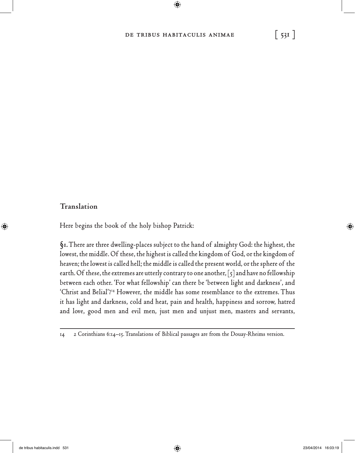## De tribus habitaculis animae **[ 531 ]**

 $\bigcirc$ 

### **Translation**

 $\bigoplus$ 

Here begins the book of the holy bishop Patrick:

**§1.** There are three dwelling-places subject to the hand of almighty God: the highest, the lowest, the middle. Of these, the highest is called the kingdom of God, or the kingdom of heaven; the lowest is called hell; the middle is called the present world, or the sphere of the earth. Of these, the extremes are utterly contrary to one another,  $\lceil 5 \rceil$  and have no fellowship between each other. 'For what fellowship' can there be 'between light and darkness', and 'Christ and Belial'?14 However, the middle has some resemblance to the extremes. Thus it has light and darkness, cold and heat, pain and health, happiness and sorrow, hatred and love, good men and evil men, just men and unjust men, masters and servants,

<sup>14 2</sup> Corinthians 6:14–15. Translations of Biblical passages are from the Douay-Rheims version.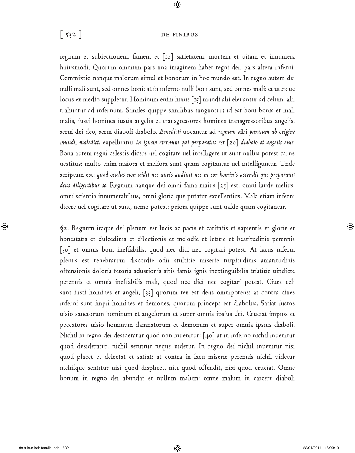### $\begin{bmatrix} 532 \end{bmatrix}$  DE FINIBUS

 $\bigcirc$ 

regnum et subiectionem, famem et [10] satietatem, mortem et uitam et innumera huiusmodi. Quorum omnium pars una imaginem habet regni dei, pars altera inferni. Commixtio nanque malorum simul et bonorum in hoc mundo est. In regno autem dei nulli mali sunt, sed omnes boni: at in inferno nulli boni sunt, sed omnes mali: et uterque locus ex medio suppletur. Hominum enim huius [15] mundi alii eleuantur ad celum, alii trahuntur ad infernum. Similes quippe similibus iunguntur: id est boni bonis et mali malis, iusti homines iustis angelis et transgressores homines transgressoribus angelis, serui dei deo, serui diaboli diabolo. *Benedicti* uocantur ad *regnum* sibi *paratum ab origine mundi, maledicti* expelluntur *in ignem eternum qui preparatus est* [20] *diabolo et angelis eius*. Bona autem regni celestis dicere uel cogitare uel intelligere ut sunt nullus potest carne uestitus: multo enim maiora et meliora sunt quam cogitantur uel intelliguntur. Unde scriptum est: *quod oculus non uidit nec auris audiuit nec in cor hominis ascendit que preparauit deus diligentibus se*. Regnum nanque dei omni fama maius [25] est, omni laude melius, omni scientia innumerabilius, omni gloria que putatur excellentius. Mala etiam inferni dicere uel cogitare ut sunt, nemo potest: peiora quippe sunt ualde quam cogitantur.

**§2.** Regnum itaque dei plenum est lucis ac pacis et caritatis et sapientie et glorie et honestatis et dulcedinis et dilectionis et melodie et letitie et beatitudinis perennis [30] et omnis boni ineffabilis, quod nec dici nec cogitari potest. At lacus inferni plenus est tenebrarum discordie odii stultitie miserie turpitudinis amaritudinis offensionis doloris fetoris adustionis sitis famis ignis inextinguibilis tristitie uindicte perennis et omnis ineffabilis mali, quod nec dici nec cogitari potest. Ciues celi sunt iusti homines et angeli, [35] quorum rex est deus omnipotens: at contra ciues inferni sunt impii homines et demones, quorum princeps est diabolus. Satiat iustos uisio sanctorum hominum et angelorum et super omnia ipsius dei. Cruciat impios et peccatores uisio hominum damnatorum et demonum et super omnia ipsius diaboli. Nichil in regno dei desideratur quod non inuenitur: [40] at in inferno nichil inuenitur quod desideratur, nichil sentitur neque uidetur. In regno dei nichil inuenitur nisi quod placet et delectat et satiat: at contra in lacu miserie perennis nichil uidetur nichilque sentitur nisi quod displicet, nisi quod offendit, nisi quod cruciat. Omne bonum in regno dei abundat et nullum malum: omne malum in carcere diaboli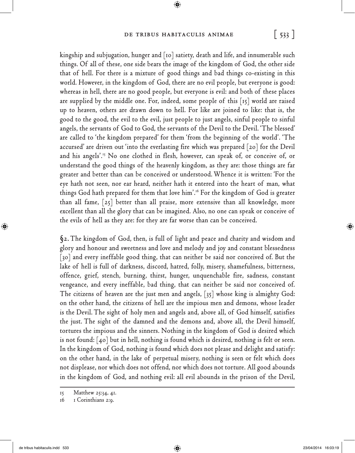### De tribus habitaculis animae **[ 533 ]**

 $\bigoplus$ 

kingship and subjugation, hunger and [10] satiety, death and life, and innumerable such things. Of all of these, one side bears the image of the kingdom of God, the other side that of hell. For there is a mixture of good things and bad things co-existing in this world. However, in the kingdom of God, there are no evil people, but everyone is good: whereas in hell, there are no good people, but everyone is evil: and both of these places are supplied by the middle one. For, indeed, some people of this  $|15|$  world are raised up to heaven, others are drawn down to hell. For like are joined to like: that is, the good to the good, the evil to the evil, just people to just angels, sinful people to sinful angels, the servants of God to God, the servants of the Devil to the Devil. 'The blessed' are called to 'the kingdom prepared' for them 'from the beginning of the world'. 'The accursed' are driven out 'into the everlasting fire which was prepared [20] for the Devil and his angels'.<sup>15</sup> No one clothed in flesh, however, can speak of, or conceive of, or understand the good things of the heavenly kingdom, as they are: those things are far greater and better than can be conceived or understood. Whence it is written: 'For the eye hath not seen, nor ear heard, neither hath it entered into the heart of man, what things God hath prepared for them that love him'.16 For the kingdom of God is greater than all fame, [25] better than all praise, more extensive than all knowledge, more excellent than all the glory that can be imagined. Also, no one can speak or conceive of the evils of hell as they are: for they are far worse than can be conceived.

**§2.** The kingdom of God, then, is full of light and peace and charity and wisdom and glory and honour and sweetness and love and melody and joy and constant blessedness [30] and every ineffable good thing, that can neither be said nor conceived of. But the lake of hell is full of darkness, discord, hatred, folly, misery, shamefulness, bitterness, offence, grief, stench, burning, thirst, hunger, unquenchable fire, sadness, constant vengeance, and every ineffable, bad thing, that can neither be said nor conceived of. The citizens of heaven are the just men and angels, [35] whose king is almighty God: on the other hand, the citizens of hell are the impious men and demons, whose leader is the Devil. The sight of holy men and angels and, above all, of God himself, satisfies the just. The sight of the damned and the demons and, above all, the Devil himself, tortures the impious and the sinners. Nothing in the kingdom of God is desired which is not found: [40] but in hell, nothing is found which is desired, nothing is felt or seen. In the kingdom of God, nothing is found which does not please and delight and satisfy: on the other hand, in the lake of perpetual misery, nothing is seen or felt which does not displease, nor which does not offend, nor which does not torture. All good abounds in the kingdom of God, and nothing evil: all evil abounds in the prison of the Devil,

<sup>15</sup> Matthew 25:34, 41.

<sup>16 1</sup> Corinthians 2:9.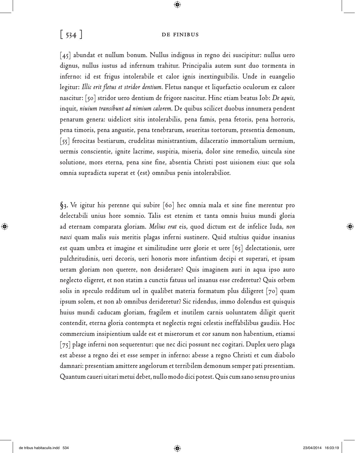## [ 534 ] DE FINIBUS

 $\bigcirc$ 

[45] abundat et nullum bonum. Nullus indignus in regno dei suscipitur: nullus uero dignus, nullus iustus ad infernum trahitur. Principalia autem sunt duo tormenta in inferno: id est frigus intolerabile et calor ignis inextinguibilis. Unde in euangelio legitur: *Illic erit fletus et stridor dentium*. Fletus nanque et liquefactio oculorum ex calore nascitur: [50] stridor uero dentium de frigore nascitur. Hinc etiam beatus Iob: *De aquis*, inquit, *niuium transibunt ad nimium calorem*. De quibus scilicet duobus innumera pendent penarum genera: uidelicet sitis intolerabilis, pena famis, pena fetoris, pena horroris, pena timoris, pena angustie, pena tenebrarum, seueritas tortorum, presentia demonum, [55] ferocitas bestiarum, crudelitas ministrantium, dilaceratio immortalium uermium, uermis conscientie, ignite lacrime, suspiria, miseria, dolor sine remedio, uincula sine solutione, mors eterna, pena sine fine, absentia Christi post uisionem eius: que sola omnia supradicta superat et 〈est〉 omnibus penis intolerabilior.

**§3.** Ve igitur his perenne qui subire [60] hec omnia mala et sine fine merentur pro delectabili unius hore somnio. Talis est etenim et tanta omnis huius mundi gloria ad eternam comparata gloriam. *Melius erat* eis, quod dictum est de infelice Iuda, *non nasci* quam malis suis meritis plagas inferni sustinere. Quid stultius quidue insanius est quam umbra et imagine et similitudine uere glorie et uere [65] delectationis, uere pulchritudinis, ueri decoris, ueri honoris more infantium decipi et superari, et ipsam ueram gloriam non querere, non desiderare? Quis imaginem auri in aqua ipso auro neglecto eligeret, et non statim a cunctis fatuus uel insanus esse crederetur? Quis orbem solis in speculo redditum uel in qualibet materia formatum plus diligeret [70] quam ipsum solem, et non ab omnibus derideretur? Sic ridendus, immo dolendus est quisquis huius mundi caducam gloriam, fragilem et inutilem carnis uoluntatem diligit querit contendit, eterna gloria contempta et neglectis regni celestis ineffabilibus gaudiis. Hoc commercium insipientium ualde est et miserorum et cor sanum non habentium, etiamsi [75] plage inferni non sequerentur: que nec dici possunt nec cogitari. Duplex uero plaga est abesse a regno dei et esse semper in inferno: abesse a regno Christi et cum diabolo damnari: presentiam amittere angelorum et terribilem demonum semper pati presentiam. Quantum caueri uitari metui debet, nullo modo dici potest. Quis cum sano sensu pro unius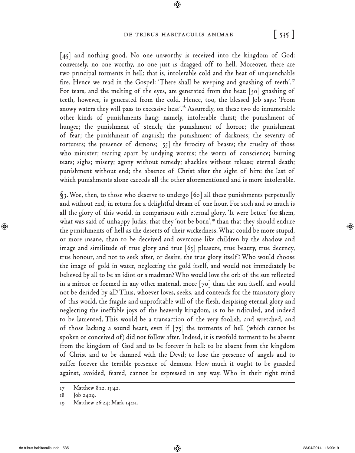### De tribus habitaculis animae **[ 535 ]**

 $\bigoplus$ 

[45] and nothing good. No one unworthy is received into the kingdom of God: conversely, no one worthy, no one just is dragged off to hell. Moreover, there are two principal torments in hell: that is, intolerable cold and the heat of unquenchable fire. Hence we read in the Gospel: There shall be weeping and gnashing of teeth'.<sup>17</sup> For tears, and the melting of the eyes, are generated from the heat: [50] gnashing of teeth, however, is generated from the cold. Hence, too, the blessed Job says: 'From snowy waters they will pass to excessive heat'.<sup>18</sup> Assuredly, on these two do innumerable other kinds of punishments hang: namely, intolerable thirst; the punishment of hunger; the punishment of stench; the punishment of horror; the punishment of fear; the punishment of anguish; the punishment of darkness; the severity of torturers; the presence of demons; [55] the ferocity of beasts; the cruelty of those who minister; tearing apart by undying worms; the worm of conscience; burning tears; sighs; misery; agony without remedy; shackles without release; eternal death; punishment without end; the absence of Christ after the sight of him: the last of which punishments alone exceeds all the other aforementioned and is more intolerable.

**§3.** Woe, then, to those who deserve to undergo [60] all these punishments perpetually and without end, in return for a delightful dream of one hour. For such and so much is all the glory of this world, in comparison with eternal glory. 'It were better' for them, what was said of unhappy Judas, that they 'not be born',<sup>19</sup> than that they should endure the punishments of hell as the deserts of their wickedness. What could be more stupid, or more insane, than to be deceived and overcome like children by the shadow and image and similitude of true glory and true [65] pleasure, true beauty, true decency, true honour, and not to seek after, or desire, the true glory itself ? Who would choose the image of gold in water, neglecting the gold itself, and would not immediately be believed by all to be an idiot or a madman? Who would love the orb of the sun reflected in a mirror or formed in any other material, more [70] than the sun itself, and would not be derided by all? Thus, whoever loves, seeks, and contends for the transitory glory of this world, the fragile and unprofitable will of the flesh, despising eternal glory and neglecting the ineffable joys of the heavenly kingdom, is to be ridiculed, and indeed to be lamented. This would be a transaction of the very foolish, and wretched, and of those lacking a sound heart, even if  $[75]$  the torments of hell (which cannot be spoken or conceived of) did not follow after. Indeed, it is twofold torment to be absent from the kingdom of God and to be forever in hell: to be absent from the kingdom of Christ and to be damned with the Devil; to lose the presence of angels and to suffer forever the terrible presence of demons. How much it ought to be guarded against, avoided, feared, cannot be expressed in any way. Who in their right mind

<sup>17</sup> Matthew 8:12, 13:42.

<sup>18</sup> Job 24:19.

<sup>19</sup> Matthew 26:24; Mark 14:21.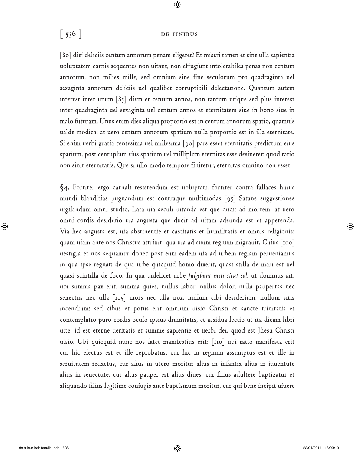## [ 536 ] **DE FINIBUS**

 $\bigcirc$ 

[80] diei deliciis centum annorum penam eligeret? Et miseri tamen et sine ulla sapientia uoluptatem carnis sequentes non uitant, non effugiunt intolerabiles penas non centum annorum, non milies mille, sed omnium sine fine seculorum pro quadraginta uel sexaginta annorum deliciis uel qualibet corruptibili delectatione. Quantum autem interest inter unum [85] diem et centum annos, non tantum utique sed plus interest inter quadraginta uel sexaginta uel centum annos et eternitatem siue in bono siue in malo futuram. Unus enim dies aliqua proportio est in centum annorum spatio, quamuis ualde modica: at uero centum annorum spatium nulla proportio est in illa eternitate. Si enim uerbi gratia centesima uel millesima [90] pars esset eternitatis predictum eius spatium, post centuplum eius spatium uel milliplum eternitas esse desineret: quod ratio non sinit eternitatis. Que si ullo modo tempore finiretur, eternitas omnino non esset.

**§4.** Fortiter ergo carnali resistendum est uoluptati, fortiter contra fallaces huius mundi blanditias pugnandum est contraque multimodas [95] Satane suggestiones uigilandum omni studio. Lata uia seculi uitanda est que ducit ad mortem: at uero omni cordis desiderio uia angusta que ducit ad uitam adeunda est et appetenda. Via hec angusta est, uia abstinentie et castitatis et humilitatis et omnis religionis: quam uiam ante nos Christus attriuit, qua uia ad suum regnum migrauit. Cuius [100] uestigia et nos sequamur donec post eum eadem uia ad urbem regiam perueniamus in qua ipse regnat: de qua urbe quicquid homo dixerit, quasi stilla de mari est uel quasi scintilla de foco. In qua uidelicet urbe *fulgebunt iusti sicut sol*, ut dominus ait: ubi summa pax erit, summa quies, nullus labor, nullus dolor, nulla paupertas nec senectus nec ulla [105] mors nec ulla nox, nullum cibi desiderium, nullum sitis incendium: sed cibus et potus erit omnium uisio Christi et sancte trinitatis et contemplatio puro cordis oculo ipsius diuinitatis, et assidua lectio ut ita dicam libri uite, id est eterne ueritatis et summe sapientie et uerbi dei, quod est Jhesu Christi uisio. Ubi quicquid nunc nos latet manifestius erit: [110] ubi ratio manifesta erit cur hic electus est et ille reprobatus, cur hic in regnum assumptus est et ille in seruitutem redactus, cur alius in utero moritur alius in infantia alius in iuuentute alius in senectute, cur alius pauper est alius diues, cur filius adultere baptizatur et aliquando filius legitime coniugis ante baptismum moritur, cur qui bene incipit uiuere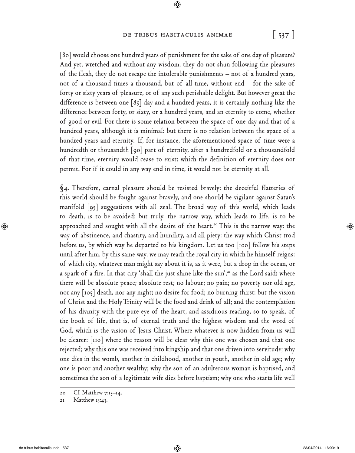### De tribus habitaculis animae **[ 537 ]**

 $\bigoplus$ 

[80] would choose one hundred years of punishment for the sake of one day of pleasure? And yet, wretched and without any wisdom, they do not shun following the pleasures of the flesh, they do not escape the intolerable punishments – not of a hundred years, not of a thousand times a thousand, but of all time, without end – for the sake of forty or sixty years of pleasure, or of any such perishable delight. But however great the difference is between one [85] day and a hundred years, it is certainly nothing like the difference between forty, or sixty, or a hundred years, and an eternity to come, whether of good or evil. For there is some relation between the space of one day and that of a hundred years, although it is minimal: but there is no relation between the space of a hundred years and eternity. If, for instance, the aforementioned space of time were a hundredth or thousandth [90] part of eternity, after a hundredfold or a thousandfold of that time, eternity would cease to exist: which the definition of eternity does not permit. For if it could in any way end in time, it would not be eternity at all.

**§4.** Therefore, carnal pleasure should be resisted bravely: the deceitful flatteries of this world should be fought against bravely, and one should be vigilant against Satan's manifold [95] suggestions with all zeal. The broad way of this world, which leads to death, is to be avoided: but truly, the narrow way, which leads to life, is to be approached and sought with all the desire of the heart.<sup>20</sup> This is the narrow way: the way of abstinence, and chastity, and humility, and all piety: the way which Christ trod before us, by which way he departed to his kingdom. Let us too [100] follow his steps until after him, by this same way, we may reach the royal city in which he himself reigns: of which city, whatever man might say about it is, as it were, but a drop in the ocean, or a spark of a fire. In that city 'shall the just shine like the sun', $21$  as the Lord said: where there will be absolute peace; absolute rest; no labour; no pain; no poverty nor old age, nor any [105] death, nor any night; no desire for food; no burning thirst: but the vision of Christ and the Holy Trinity will be the food and drink of all; and the contemplation of his divinity with the pure eye of the heart, and assiduous reading, so to speak, of the book of life, that is, of eternal truth and the highest wisdom and the word of God, which is the vision of Jesus Christ. Where whatever is now hidden from us will be clearer: [110] where the reason will be clear why this one was chosen and that one rejected; why this one was received into kingship and that one driven into servitude; why one dies in the womb, another in childhood, another in youth, another in old age; why one is poor and another wealthy; why the son of an adulterous woman is baptised, and sometimes the son of a legitimate wife dies before baptism; why one who starts life well

<sup>20</sup> Cf. Matthew 7:13–14.

<sup>21</sup> Matthew 13:43.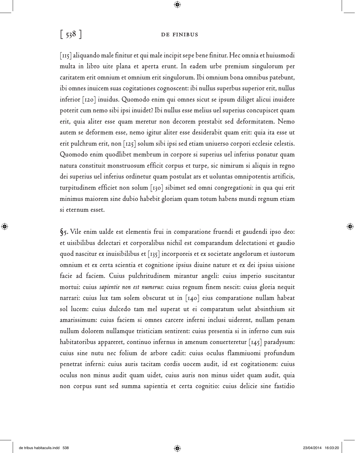### [ 538 ] DE FINIBUS

 $\bigcirc$ 

[115] aliquando male finitur et qui male incipit sepe bene finitur. Hec omnia et huiusmodi multa in libro uite plana et aperta erunt. In eadem urbe premium singulorum per caritatem erit omnium et omnium erit singulorum. Ibi omnium bona omnibus patebunt, ibi omnes inuicem suas cogitationes cognoscent: ibi nullus superbus superior erit, nullus inferior [120] inuidus. Quomodo enim qui omnes sicut se ipsum diliget alicui inuidere poterit cum nemo sibi ipsi inuidet? Ibi nullus esse melius uel superius concupiscet quam erit, quia aliter esse quam meretur non decorem prestabit sed deformitatem. Nemo autem se deformem esse, nemo igitur aliter esse desiderabit quam erit: quia ita esse ut erit pulchrum erit, non [125] solum sibi ipsi sed etiam uniuerso corpori ecclesie celestis. Quomodo enim quodlibet membrum in corpore si superius uel inferius ponatur quam natura constituit monstruosum efficit corpus et turpe, sic nimirum si aliquis in regno dei superius uel inferius ordinetur quam postulat ars et uoluntas omnipotentis artificis, turpitudinem efficiet non solum [130] sibimet sed omni congregationi: in qua qui erit minimus maiorem sine dubio habebit gloriam quam totum habens mundi regnum etiam si eternum esset.

**§5.** Vile enim ualde est elementis frui in comparatione fruendi et gaudendi ipso deo: et uisibilibus delectari et corporalibus nichil est comparandum delectationi et gaudio quod nascitur ex inuisibilibus et [135] incorporeis et ex societate angelorum et iustorum omnium et ex certa scientia et cognitione ipsius diuine nature et ex dei ipsius uisione facie ad faciem. Cuius pulchritudinem mirantur angeli: cuius imperio suscitantur mortui: cuius *sapientie non est numerus*: cuius regnum finem nescit: cuius gloria nequit narrari: cuius lux tam solem obscurat ut in [140] eius comparatione nullam habeat sol lucem: cuius dulcedo tam mel superat ut ei comparatum uelut absinthium sit amarissimum: cuius faciem si omnes carcere inferni inclusi uiderent, nullam penam nullum dolorem nullamque tristiciam sentirent: cuius presentia si in inferno cum suis habitatoribus appareret, continuo infernus in amenum conuerteretur [145] paradysum: cuius sine nutu nec folium de arbore cadit: cuius oculus flammiuomi profundum penetrat inferni: cuius auris tacitam cordis uocem audit, id est cogitationem: cuius oculus non minus audit quam uidet, cuius auris non minus uidet quam audit, quia non corpus sunt sed summa sapientia et certa cognitio: cuius delicie sine fastidio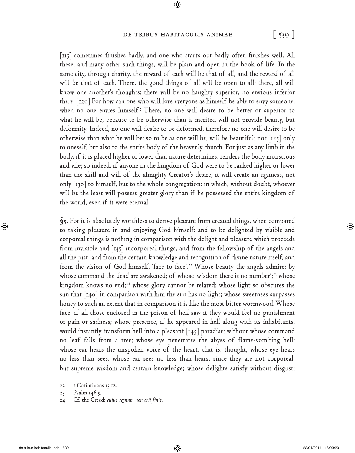### De tribus habitaculis animae **[ 539 ]**

 $\bigoplus$ 

[115] sometimes finishes badly, and one who starts out badly often finishes well. All these, and many other such things, will be plain and open in the book of life. In the same city, through charity, the reward of each will be that of all, and the reward of all will be that of each. There, the good things of all will be open to all; there, all will know one another's thoughts: there will be no haughty superior, no envious inferior there. [120] For how can one who will love everyone as himself be able to envy someone, when no one envies himself? There, no one will desire to be better or superior to what he will be, because to be otherwise than is merited will not provide beauty, but deformity. Indeed, no one will desire to be deformed, therefore no one will desire to be otherwise than what he will be: so to be as one will be, will be beautiful; not  $\lceil$ 125 $\rceil$  only to oneself, but also to the entire body of the heavenly church. For just as any limb in the body, if it is placed higher or lower than nature determines, renders the body monstrous and vile; so indeed, if anyone in the kingdom of God were to be ranked higher or lower than the skill and will of the almighty Creator's desire, it will create an ugliness, not only  $\lceil 130 \rceil$  to himself, but to the whole congregation: in which, without doubt, whoever will be the least will possess greater glory than if he possessed the entire kingdom of the world, even if it were eternal.

**§5.** For it is absolutely worthless to derive pleasure from created things, when compared to taking pleasure in and enjoying God himself: and to be delighted by visible and corporeal things is nothing in comparison with the delight and pleasure which proceeds from invisible and [135] incorporeal things, and from the fellowship of the angels and all the just, and from the certain knowledge and recognition of divine nature itself, and from the vision of God himself, 'face to face'.<sup>22</sup> Whose beauty the angels admire; by whose command the dead are awakened; of whose 'wisdom there is no number';<sup>23</sup> whose kingdom knows no end;<sup>24</sup> whose glory cannot be related; whose light so obscures the sun that  $\lceil 140 \rceil$  in comparison with him the sun has no light; whose sweetness surpasses honey to such an extent that in comparison it is like the most bitter wormwood. Whose face, if all those enclosed in the prison of hell saw it they would feel no punishment or pain or sadness; whose presence, if he appeared in hell along with its inhabitants, would instantly transform hell into a pleasant [145] paradise; without whose command no leaf falls from a tree; whose eye penetrates the abyss of flame-vomiting hell; whose ear hears the unspoken voice of the heart, that is, thought; whose eye hears no less than sees, whose ear sees no less than hears, since they are not corporeal, but supreme wisdom and certain knowledge; whose delights satisfy without disgust;

<sup>22 1</sup> Corinthians 13:12.

<sup>23</sup> Psalm 146:5.

<sup>24</sup> Cf. the Creed: *cuius regnum non erit finis*.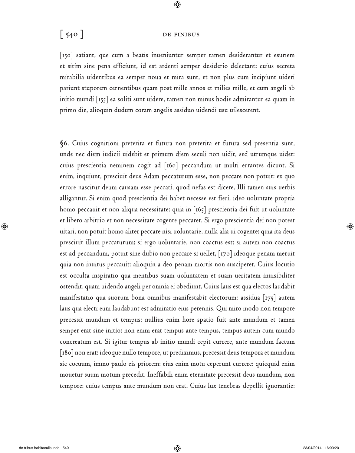### $\begin{bmatrix} 540 \end{bmatrix}$  DE FINIBUS

 $\bigcirc$ 

[150] satiant, que cum a beatis inueniuntur semper tamen desiderantur et esuriem et sitim sine pena efficiunt, id est ardenti semper desiderio delectant: cuius secreta mirabilia uidentibus ea semper noua et mira sunt, et non plus cum incipiunt uideri pariunt stuporem cernentibus quam post mille annos et milies mille, et cum angeli ab initio mundi [155] ea soliti sunt uidere, tamen non minus hodie admirantur ea quam in primo die, alioquin dudum coram angelis assiduo uidendi usu uilescerent.

**§6.** Cuius cognitioni preterita et futura non preterita et futura sed presentia sunt, unde nec diem iudicii uidebit et primum diem seculi non uidit, sed utrumque uidet: cuius prescientia neminem cogit ad [160] peccandum ut multi errantes dicunt. Si enim, inquiunt, presciuit deus Adam peccaturum esse, non peccare non potuit: ex quo errore nascitur deum causam esse peccati, quod nefas est dicere. Illi tamen suis uerbis alligantur. Si enim quod prescientia dei habet necesse est fieri, ideo uoluntate propria homo peccauit et non aliqua necessitate: quia in [165] prescientia dei fuit ut uoluntate et libero arbitrio et non necessitate cogente peccaret. Si ergo prescientia dei non potest uitari, non potuit homo aliter peccare nisi uoluntarie, nulla alia ui cogente: quia ita deus presciuit illum peccaturum: si ergo uoluntarie, non coactus est: si autem non coactus est ad peccandum, potuit sine dubio non peccare si uellet, [170] ideoque penam meruit quia non inuitus peccauit: alioquin a deo penam mortis non susciperet. Cuius locutio est occulta inspiratio qua mentibus suam uoluntatem et suam ueritatem inuisibiliter ostendit, quam uidendo angeli per omnia ei obediunt. Cuius laus est qua electos laudabit manifestatio qua suorum bona omnibus manifestabit electorum: assidua [175] autem laus qua electi eum laudabunt est admiratio eius perennis. Qui miro modo non tempore precessit mundum et tempus: nullius enim hore spatio fuit ante mundum et tamen semper erat sine initio: non enim erat tempus ante tempus, tempus autem cum mundo concreatum est. Si igitur tempus ab initio mundi cepit currere, ante mundum factum [180] non erat: ideoque nullo tempore, ut prediximus, precessit deus tempora et mundum sic coeuum, immo paulo eis priorem: eius enim motu ceperunt currere: quicquid enim mouetur suum motum precedit. Ineffabili enim eternitate precessit deus mundum, non tempore: cuius tempus ante mundum non erat. Cuius lux tenebras depellit ignorantie: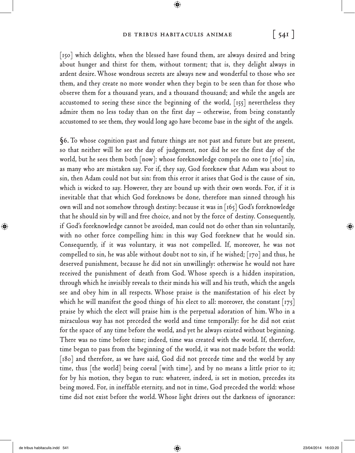### De tribus habitaculis animae **[ 541 ]**

 $\bigoplus$ 

[150] which delights, when the blessed have found them, are always desired and bring about hunger and thirst for them, without torment; that is, they delight always in ardent desire. Whose wondrous secrets are always new and wonderful to those who see them, and they create no more wonder when they begin to be seen than for those who observe them for a thousand years, and a thousand thousand; and while the angels are accustomed to seeing these since the beginning of the world, [155] nevertheless they admire them no less today than on the first day – otherwise, from being constantly accustomed to see them, they would long ago have become base in the sight of the angels.

**§6.** To whose cognition past and future things are not past and future but are present, so that neither will he see the day of judgement, nor did he see the first day of the world, but he sees them both [now]: whose foreknowledge compels no one to [160] sin, as many who are mistaken say. For if, they say, God foreknew that Adam was about to sin, then Adam could not but sin: from this error it arises that God is the cause of sin, which is wicked to say. However, they are bound up with their own words. For, if it is inevitable that that which God foreknows be done, therefore man sinned through his own will and not somehow through destiny: because it was in [165] God's foreknowledge that he should sin by will and free choice, and not by the force of destiny. Consequently, if God's foreknowledge cannot be avoided, man could not do other than sin voluntarily, with no other force compelling him: in this way God foreknew that he would sin. Consequently, if it was voluntary, it was not compelled. If, moreover, he was not compelled to sin, he was able without doubt not to sin, if he wished; [170] and thus, he deserved punishment, because he did not sin unwillingly: otherwise he would not have received the punishment of death from God. Whose speech is a hidden inspiration, through which he invisibly reveals to their minds his will and his truth, which the angels see and obey him in all respects. Whose praise is the manifestation of his elect by which he will manifest the good things of his elect to all: moreover, the constant  $\vert 175 \vert$ praise by which the elect will praise him is the perpetual adoration of him. Who in a miraculous way has not preceded the world and time temporally: for he did not exist for the space of any time before the world, and yet he always existed without beginning. There was no time before time; indeed, time was created with the world. If, therefore, time began to pass from the beginning of the world, it was not made before the world:  $\lceil 180 \rceil$  and therefore, as we have said, God did not precede time and the world by any time, thus [the world] being coeval [with time], and by no means a little prior to it; for by his motion, they began to run: whatever, indeed, is set in motion, precedes its being moved. For, in ineffable eternity, and not in time, God preceded the world: whose time did not exist before the world. Whose light drives out the darkness of ignorance: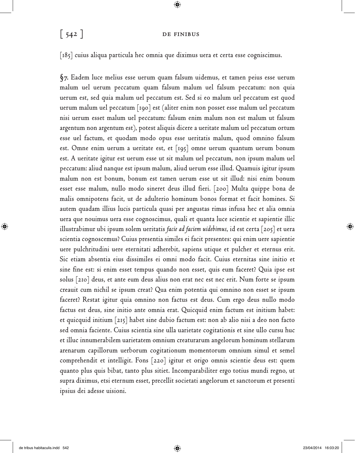### $\begin{bmatrix} 542 \end{bmatrix}$  DE FINIBUS

 $\bigcirc$ 

[185] cuius aliqua particula hec omnia que diximus uera et certa esse cogniscimus.

**§7.** Eadem luce melius esse uerum quam falsum uidemus, et tamen peius esse uerum malum uel uerum peccatum quam falsum malum uel falsum peccatum: non quia uerum est, sed quia malum uel peccatum est. Sed si eo malum uel peccatum est quod uerum malum uel peccatum [190] est (aliter enim non posset esse malum uel peccatum nisi uerum esset malum uel peccatum: falsum enim malum non est malum ut falsum argentum non argentum est), potest aliquis dicere a ueritate malum uel peccatum ortum esse uel factum, et quodam modo opus esse ueritatis malum, quod omnino falsum est. Omne enim uerum a ueritate est, et [195] omne uerum quantum uerum bonum est. A ueritate igitur est uerum esse ut sit malum uel peccatum, non ipsum malum uel peccatum: aliud nanque est ipsum malum, aliud uerum esse illud. Quamuis igitur ipsum malum non est bonum, bonum est tamen uerum esse ut sit illud: nisi enim bonum esset esse malum, nullo modo sineret deus illud fieri. [200] Multa quippe bona de malis omnipotens facit, ut de adulterio hominum bonos format et facit homines. Si autem quadam illius lucis particula quasi per angustas rimas infusa hec et alia omnia uera que nouimus uera esse cognoscimus, quali et quanta luce scientie et sapientie illic illustrabimur ubi ipsum solem ueritatis *facie ad faciem uidebimus*, id est certa [205] et uera scientia cognoscemus? Cuius presentia similes ei facit presentes: qui enim uere sapientie uere pulchritudini uere eternitati adherebit, sapiens utique et pulcher et eternus erit. Sic etiam absentia eius dissimiles ei omni modo facit. Cuius eternitas sine initio et sine fine est: si enim esset tempus quando non esset, quis eum faceret? Quia ipse est solus [210] deus, et ante eum deus alius non erat nec est nec erit. Num forte se ipsum creauit cum nichil se ipsum creat? Qua enim potentia qui omnino non esset se ipsum faceret? Restat igitur quia omnino non factus est deus. Cum ergo deus nullo modo factus est deus, sine initio ante omnia erat. Quicquid enim factum est initium habet: et quicquid initium [215] habet sine dubio factum est: non ab alio nisi a deo non facto sed omnia faciente. Cuius scientia sine ulla uarietate cogitationis et sine ullo cursu huc et illuc innumerabilem uarietatem omnium creaturarum angelorum hominum stellarum arenarum capillorum uerborum cogitationum momentorum omnium simul et semel comprehendit et intelligit. Fons [220] igitur et origo omnis scientie deus est: quem quanto plus quis bibat, tanto plus sitiet. Incomparabiliter ergo totius mundi regno, ut supra diximus, etsi eternum esset, precellit societati angelorum et sanctorum et presenti ipsius dei adesse uisioni.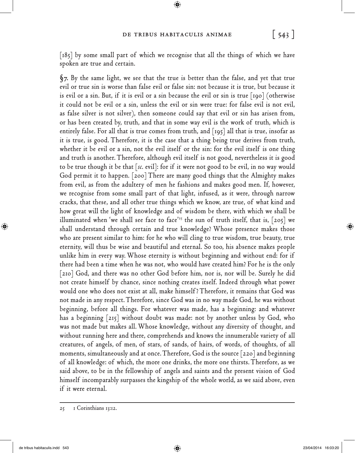$\bigoplus$ 

[185] by some small part of which we recognise that all the things of which we have spoken are true and certain.

**§7.** By the same light, we see that the true is better than the false, and yet that true evil or true sin is worse than false evil or false sin: not because it is true, but because it is evil or a sin. But, if it is evil or a sin because the evil or sin is true  $\lceil$ 190 $\rceil$  (otherwise it could not be evil or a sin, unless the evil or sin were true: for false evil is not evil, as false silver is not silver), then someone could say that evil or sin has arisen from, or has been created by, truth, and that in some way evil is the work of truth, which is entirely false. For all that is true comes from truth, and  $\lceil 195 \rceil$  all that is true, insofar as it is true, is good. Therefore, it is the case that a thing being true derives from truth, whether it be evil or a sin, not the evil itself or the sin: for the evil itself is one thing and truth is another. Therefore, although evil itself is not good, nevertheless it is good to be true though it be that [*sc*. evil]: for if it were not good to be evil, in no way would God permit it to happen. [200] There are many good things that the Almighty makes from evil, as from the adultery of men he fashions and makes good men. If, however, we recognise from some small part of that light, infused, as it were, through narrow cracks, that these, and all other true things which we know, are true, of what kind and how great will the light of knowledge and of wisdom be there, with which we shall be illuminated when 'we shall see face to face'<sup>25</sup> the sun of truth itself, that is,  $[205]$  we shall understand through certain and true knowledge? Whose presence makes those who are present similar to him: for he who will cling to true wisdom, true beauty, true eternity, will thus be wise and beautiful and eternal. So too, his absence makes people unlike him in every way. Whose eternity is without beginning and without end: for if there had been a time when he was not, who would have created him? For he is the only [210] God, and there was no other God before him, nor is, nor will be. Surely he did not create himself by chance, since nothing creates itself. Indeed through what power would one who does not exist at all, make himself ? Therefore, it remains that God was not made in any respect. Therefore, since God was in no way made God, he was without beginning, before all things. For whatever was made, has a beginning: and whatever has a beginning [215] without doubt was made: not by another unless by God, who was not made but makes all. Whose knowledge, without any diversity of thought, and without running here and there, comprehends and knows the innumerable variety of all creatures, of angels, of men, of stars, of sands, of hairs, of words, of thoughts, of all moments, simultaneously and at once. Therefore, God is the source [220] and beginning of all knowledge: of which, the more one drinks, the more one thirsts. Therefore, as we said above, to be in the fellowship of angels and saints and the present vision of God himself incomparably surpasses the kingship of the whole world, as we said above, even if it were eternal.

<sup>25 1</sup> Corinthians 13:12.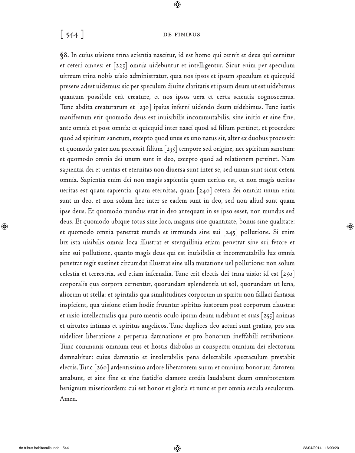# [ 544 ] **DE FINIBUS**

 $\bigcirc$ 

**§8.** In cuius uisione trina scientia nascitur, id est homo qui cernit et deus qui cernitur et ceteri omnes: et [225] omnia uidebuntur et intelligentur. Sicut enim per speculum uitreum trina nobis uisio administratur, quia nos ipsos et ipsum speculum et quicquid presens adest uidemus: sic per speculum diuine claritatis et ipsum deum ut est uidebimus quantum possibile erit creature, et nos ipsos uera et certa scientia cognoscemus. Tunc abdita creaturarum et [230] ipsius inferni uidendo deum uidebimus. Tunc iustis manifestum erit quomodo deus est inuisibilis incommutabilis, sine initio et sine fine, ante omnia et post omnia: et quicquid inter nasci quod ad filium pertinet, et procedere quod ad spiritum sanctum, excepto quod unus ex uno natus sit, alter ex duobus processit: et quomodo pater non precessit filium [235] tempore sed origine, nec spiritum sanctum: et quomodo omnia dei unum sunt in deo, excepto quod ad relationem pertinet. Nam sapientia dei et ueritas et eternitas non diuersa sunt inter se, sed unum sunt sicut cetera omnia. Sapientia enim dei non magis sapientia quam ueritas est, et non magis ueritas ueritas est quam sapientia, quam eternitas, quam [240] cetera dei omnia: unum enim sunt in deo, et non solum hec inter se eadem sunt in deo, sed non aliud sunt quam ipse deus. Et quomodo mundus erat in deo antequam in se ipso esset, non mundus sed deus. Et quomodo ubique totus sine loco, magnus sine quantitate, bonus sine qualitate: et quomodo omnia penetrat munda et immunda sine sui [245] pollutione. Si enim lux ista uisibilis omnia loca illustrat et sterquilinia etiam penetrat sine sui fetore et sine sui pollutione, quanto magis deus qui est inuisibilis et incommutabilis lux omnia penetrat regit sustinet circumdat illustrat sine ulla mutatione uel pollutione: non solum celestia et terrestria, sed etiam infernalia. Tunc erit electis dei trina uisio: id est [250] corporalis qua corpora cernentur, quorundam splendentia ut sol, quorundam ut luna, aliorum ut stella: et spiritalis qua similitudines corporum in spiritu non fallaci fantasia inspicient, qua uisione etiam hodie fruuntur spiritus iustorum post corporum claustra: et uisio intellectualis qua puro mentis oculo ipsum deum uidebunt et suas [255] animas et uirtutes intimas et spiritus angelicos. Tunc duplices deo acturi sunt gratias, pro sua uidelicet liberatione a perpetua damnatione et pro bonorum ineffabili retributione. Tunc communis omnium reus et hostis diabolus in conspectu omnium dei electorum damnabitur: cuius damnatio et intolerabilis pena delectabile spectaculum prestabit electis. Tunc [260] ardentissimo ardore liberatorem suum et omnium bonorum datorem amabunt, et sine fine et sine fastidio clamore cordis laudabunt deum omnipotentem benignum misericordem: cui est honor et gloria et nunc et per omnia secula seculorum. Amen.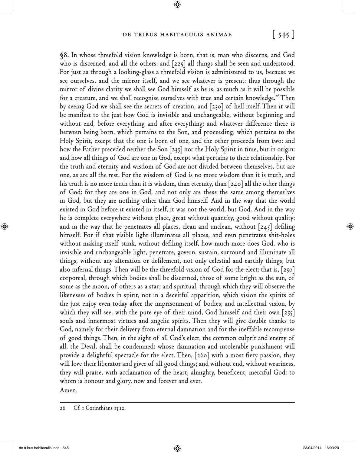### De tribus habitaculis animae **[ 545 ]**

 $\bigoplus$ 

**§8.** In whose threefold vision knowledge is born, that is, man who discerns, and God who is discerned, and all the others: and  $[225]$  all things shall be seen and understood. For just as through a looking-glass a threefold vision is administered to us, because we see ourselves, and the mirror itself, and we see whatever is present: thus through the mirror of divine clarity we shall see God himself as he is, as much as it will be possible for a creature, and we shall recognise ourselves with true and certain knowledge.<sup>26</sup> Then by seeing God we shall see the secrets of creation, and [230] of hell itself. Then it will be manifest to the just how God is invisible and unchangeable, without beginning and without end, before everything and after everything: and whatever difference there is between being born, which pertains to the Son, and proceeding, which pertains to the Holy Spirit, except that the one is born of one, and the other proceeds from two: and how the Father preceded neither the Son [235] nor the Holy Spirit in time, but in origin: and how all things of God are one in God, except what pertains to their relationship. For the truth and eternity and wisdom of God are not divided between themselves, but are one, as are all the rest. For the wisdom of God is no more wisdom than it is truth, and his truth is no more truth than it is wisdom, than eternity, than  $\lceil 240 \rceil$  all the other things of God: for they are one in God, and not only are these the same among themselves in God, but they are nothing other than God himself. And in the way that the world existed in God before it existed in itself, it was not the world, but God. And in the way he is complete everywhere without place, great without quantity, good without quality: and in the way that he penetrates all places, clean and unclean, without  $|245|$  defiling himself. For if that visible light illuminates all places, and even penetrates shit-holes without making itself stink, without defiling itself, how much more does God, who is invisible and unchangeable light, penetrate, govern, sustain, surround and illuminate all things, without any alteration or defilement, not only celestial and earthly things, but also infernal things. Then will be the threefold vision of God for the elect: that is, [250] corporeal, through which bodies shall be discerned, those of some bright as the sun, of some as the moon, of others as a star; and spiritual, through which they will observe the likenesses of bodies in spirit, not in a deceitful apparition, which vision the spirits of the just enjoy even today after the imprisonment of bodies; and intellectual vision, by which they will see, with the pure eye of their mind, God himself and their own  $\lceil 255 \rceil$ souls and innermost virtues and angelic spirits. Then they will give double thanks to God, namely for their delivery from eternal damnation and for the ineffable recompense of good things. Then, in the sight of all God's elect, the common culprit and enemy of all, the Devil, shall be condemned: whose damnation and intolerable punishment will provide a delightful spectacle for the elect. Then, [260] with a most fiery passion, they will love their liberator and giver of all good things; and without end, without weariness, they will praise, with acclamation of the heart, almighty, beneficent, merciful God: to whom is honour and glory, now and forever and ever. Amen.

<sup>26</sup> Cf. 1 Corinthians 13:12.